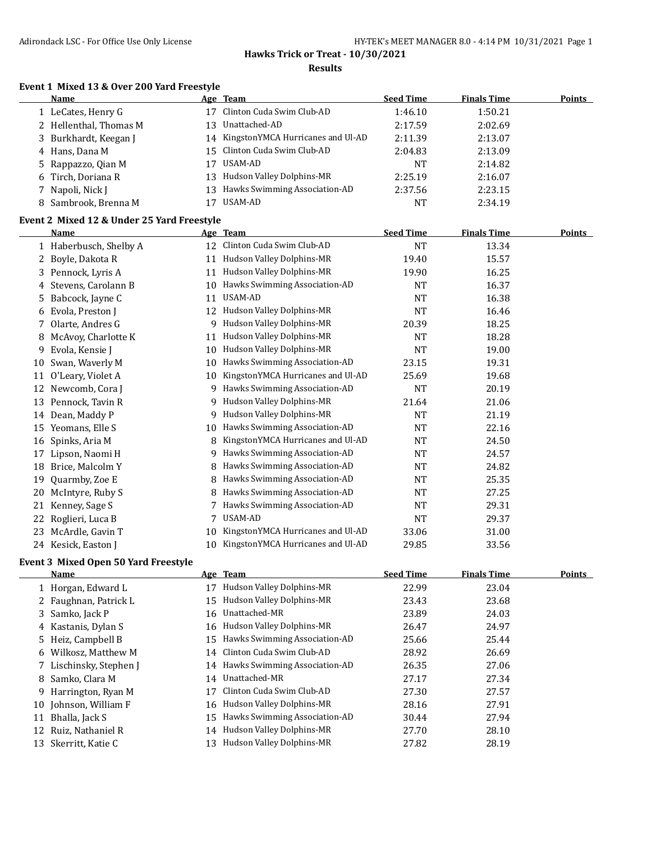#### **Event 1 Mixed 13 & Over 200 Yard Freestyle**

|    | Name                                       |    | Age Team                             | <b>Seed Time</b> | <b>Finals Time</b> | <b>Points</b> |
|----|--------------------------------------------|----|--------------------------------------|------------------|--------------------|---------------|
|    | 1 LeCates, Henry G                         | 17 | Clinton Cuda Swim Club-AD            | 1:46.10          | 1:50.21            |               |
|    | 2 Hellenthal, Thomas M                     | 13 | Unattached-AD                        | 2:17.59          | 2:02.69            |               |
| 3  | Burkhardt, Keegan J                        | 14 | KingstonYMCA Hurricanes and Ul-AD    | 2:11.39          | 2:13.07            |               |
|    | 4 Hans, Dana M                             | 15 | Clinton Cuda Swim Club-AD            | 2:04.83          | 2:13.09            |               |
| 5  | Rappazzo, Qian M                           | 17 | <b>USAM-AD</b>                       | <b>NT</b>        | 2:14.82            |               |
| 6  | Tirch, Doriana R                           | 13 | Hudson Valley Dolphins-MR            | 2:25.19          | 2:16.07            |               |
| 7  | Napoli, Nick J                             |    | 13 Hawks Swimming Association-AD     | 2:37.56          | 2:23.15            |               |
| 8  | Sambrook, Brenna M                         |    | 17 USAM-AD                           | <b>NT</b>        | 2:34.19            |               |
|    | Event 2 Mixed 12 & Under 25 Yard Freestyle |    |                                      |                  |                    |               |
|    | <b>Name</b>                                |    | Age Team                             | <b>Seed Time</b> | <b>Finals Time</b> | <b>Points</b> |
|    | 1 Haberbusch, Shelby A                     |    | 12 Clinton Cuda Swim Club-AD         | <b>NT</b>        | 13.34              |               |
| 2  | Boyle, Dakota R                            | 11 | Hudson Valley Dolphins-MR            | 19.40            | 15.57              |               |
| 3  | Pennock, Lyris A                           | 11 | Hudson Valley Dolphins-MR            | 19.90            | 16.25              |               |
|    | 4 Stevens, Carolann B                      | 10 | Hawks Swimming Association-AD        | <b>NT</b>        | 16.37              |               |
| 5. | Babcock, Jayne C                           | 11 | USAM-AD                              | <b>NT</b>        | 16.38              |               |
| 6  | Evola, Preston J                           |    | 12 Hudson Valley Dolphins-MR         | <b>NT</b>        | 16.46              |               |
| 7  | Olarte, Andres G                           |    | 9 Hudson Valley Dolphins-MR          | 20.39            | 18.25              |               |
| 8  | McAvoy, Charlotte K                        | 11 | Hudson Valley Dolphins-MR            | <b>NT</b>        | 18.28              |               |
| 9  | Evola, Kensie J                            |    | 10 Hudson Valley Dolphins-MR         | <b>NT</b>        | 19.00              |               |
| 10 | Swan, Waverly M                            | 10 | Hawks Swimming Association-AD        | 23.15            | 19.31              |               |
|    | 11 O'Leary, Violet A                       | 10 | KingstonYMCA Hurricanes and Ul-AD    | 25.69            | 19.68              |               |
|    | 12 Newcomb, Cora J                         |    | 9 Hawks Swimming Association-AD      | <b>NT</b>        | 20.19              |               |
| 13 | Pennock, Tavin R                           | 9  | Hudson Valley Dolphins-MR            | 21.64            | 21.06              |               |
| 14 | Dean, Maddy P                              | 9  | Hudson Valley Dolphins-MR            | <b>NT</b>        | 21.19              |               |
|    | 15 Yeomans, Elle S                         | 10 | Hawks Swimming Association-AD        | <b>NT</b>        | 22.16              |               |
| 16 | Spinks, Aria M                             | 8  | KingstonYMCA Hurricanes and Ul-AD    | <b>NT</b>        | 24.50              |               |
| 17 | Lipson, Naomi H                            |    | 9 Hawks Swimming Association-AD      | <b>NT</b>        | 24.57              |               |
| 18 | Brice, Malcolm Y                           | 8  | Hawks Swimming Association-AD        | NT               | 24.82              |               |
| 19 | Quarmby, Zoe E                             |    | Hawks Swimming Association-AD        | NT               | 25.35              |               |
| 20 | McIntyre, Ruby S                           | 8  | Hawks Swimming Association-AD        | NT               | 27.25              |               |
| 21 | Kenney, Sage S                             | 7  | Hawks Swimming Association-AD        | NT               | 29.31              |               |
| 22 | Roglieri, Luca B                           | 7  | <b>USAM-AD</b>                       | NT               | 29.37              |               |
| 23 | McArdle, Gavin T                           | 10 | KingstonYMCA Hurricanes and Ul-AD    | 33.06            | 31.00              |               |
|    | 24 Kesick, Easton J                        |    | 10 KingstonYMCA Hurricanes and Ul-AD | 29.85            | 33.56              |               |

## **Event 3 Mixed Open 50 Yard Freestyle**

|    | Name                    |    | Age Team                         | <b>Seed Time</b> | <b>Finals Time</b> | <b>Points</b> |
|----|-------------------------|----|----------------------------------|------------------|--------------------|---------------|
|    | 1 Horgan, Edward L      | 17 | Hudson Valley Dolphins-MR        | 22.99            | 23.04              |               |
|    | 2 Faughnan, Patrick L   |    | 15 Hudson Valley Dolphins-MR     | 23.43            | 23.68              |               |
|    | 3 Samko, Jack P         |    | 16 Unattached-MR                 | 23.89            | 24.03              |               |
|    | 4 Kastanis, Dylan S     |    | 16 Hudson Valley Dolphins-MR     | 26.47            | 24.97              |               |
|    | 5 Heiz, Campbell B      | 15 | Hawks Swimming Association-AD    | 25.66            | 25.44              |               |
|    | 6 Wilkosz, Matthew M    |    | 14 Clinton Cuda Swim Club-AD     | 28.92            | 26.69              |               |
|    | 7 Lischinsky, Stephen J |    | 14 Hawks Swimming Association-AD | 26.35            | 27.06              |               |
|    | 8 Samko, Clara M        |    | 14 Unattached-MR                 | 27.17            | 27.34              |               |
|    | 9 Harrington, Ryan M    | 17 | Clinton Cuda Swim Club-AD        | 27.30            | 27.57              |               |
|    | 10 Johnson, William F   |    | 16 Hudson Valley Dolphins-MR     | 28.16            | 27.91              |               |
| 11 | Bhalla, Jack S          | 15 | Hawks Swimming Association-AD    | 30.44            | 27.94              |               |
|    | 12 Ruiz, Nathaniel R    |    | 14 Hudson Valley Dolphins-MR     | 27.70            | 28.10              |               |
| 13 | Skerritt, Katie C       | 13 | Hudson Valley Dolphins-MR        | 27.82            | 28.19              |               |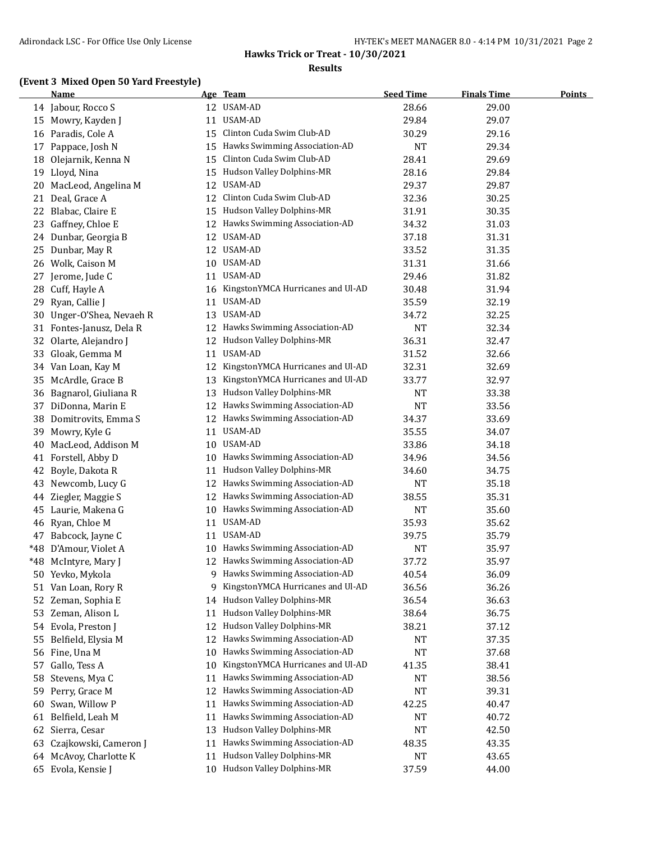## **(Event 3 Mixed Open 50 Yard Freestyle)**

|       | Name                   |    | Age Team                          | <b>Seed Time</b> | <b>Finals Time</b> | <b>Points</b> |
|-------|------------------------|----|-----------------------------------|------------------|--------------------|---------------|
|       | 14 Jabour, Rocco S     |    | 12 USAM-AD                        | 28.66            | 29.00              |               |
| 15    | Mowry, Kayden J        | 11 | USAM-AD                           | 29.84            | 29.07              |               |
|       | 16 Paradis, Cole A     | 15 | Clinton Cuda Swim Club-AD         | 30.29            | 29.16              |               |
| 17    | Pappace, Josh N        | 15 | Hawks Swimming Association-AD     | <b>NT</b>        | 29.34              |               |
| 18    | Olejarnik, Kenna N     | 15 | Clinton Cuda Swim Club-AD         | 28.41            | 29.69              |               |
| 19    | Lloyd, Nina            | 15 | Hudson Valley Dolphins-MR         | 28.16            | 29.84              |               |
| 20    | MacLeod, Angelina M    | 12 | USAM-AD                           | 29.37            | 29.87              |               |
| 21    | Deal, Grace A          | 12 | Clinton Cuda Swim Club-AD         | 32.36            | 30.25              |               |
| 22    | Blabac, Claire E       | 15 | Hudson Valley Dolphins-MR         | 31.91            | 30.35              |               |
| 23    | Gaffney, Chloe E       | 12 | Hawks Swimming Association-AD     | 34.32            | 31.03              |               |
| 24    | Dunbar, Georgia B      | 12 | USAM-AD                           | 37.18            | 31.31              |               |
| 25    | Dunbar, May R          |    | 12 USAM-AD                        | 33.52            | 31.35              |               |
| 26    | Wolk, Caison M         | 10 | USAM-AD                           | 31.31            | 31.66              |               |
| 27    | Jerome, Jude C         | 11 | USAM-AD                           | 29.46            | 31.82              |               |
| 28    | Cuff, Hayle A          | 16 | KingstonYMCA Hurricanes and Ul-AD | 30.48            | 31.94              |               |
| 29    | Ryan, Callie J         | 11 | USAM-AD                           | 35.59            | 32.19              |               |
| 30    | Unger-O'Shea, Nevaeh R | 13 | USAM-AD                           | 34.72            | 32.25              |               |
| 31    | Fontes-Janusz, Dela R  | 12 | Hawks Swimming Association-AD     | NT               | 32.34              |               |
| 32    | Olarte, Alejandro J    | 12 | Hudson Valley Dolphins-MR         | 36.31            | 32.47              |               |
| 33    | Gloak, Gemma M         |    | 11 USAM-AD                        | 31.52            | 32.66              |               |
|       | 34 Van Loan, Kay M     | 12 | KingstonYMCA Hurricanes and Ul-AD | 32.31            | 32.69              |               |
| 35    | McArdle, Grace B       | 13 | KingstonYMCA Hurricanes and Ul-AD | 33.77            | 32.97              |               |
| 36    | Bagnarol, Giuliana R   | 13 | Hudson Valley Dolphins-MR         | NT               | 33.38              |               |
| 37    | DiDonna, Marin E       | 12 | Hawks Swimming Association-AD     | <b>NT</b>        | 33.56              |               |
| 38    | Domitrovits, Emma S    |    | 12 Hawks Swimming Association-AD  | 34.37            | 33.69              |               |
| 39    | Mowry, Kyle G          |    | 11 USAM-AD                        | 35.55            | 34.07              |               |
| 40    | MacLeod, Addison M     |    | 10 USAM-AD                        | 33.86            | 34.18              |               |
| 41    | Forstell, Abby D       | 10 | Hawks Swimming Association-AD     | 34.96            | 34.56              |               |
| 42    | Boyle, Dakota R        | 11 | Hudson Valley Dolphins-MR         | 34.60            | 34.75              |               |
| 43    | Newcomb, Lucy G        | 12 | Hawks Swimming Association-AD     | <b>NT</b>        | 35.18              |               |
| 44    | Ziegler, Maggie S      | 12 | Hawks Swimming Association-AD     | 38.55            | 35.31              |               |
| 45    | Laurie, Makena G       | 10 | Hawks Swimming Association-AD     | <b>NT</b>        | 35.60              |               |
|       | 46 Ryan, Chloe M       |    | 11 USAM-AD                        | 35.93            | 35.62              |               |
| 47    | Babcock, Jayne C       |    | 11 USAM-AD                        | 39.75            | 35.79              |               |
| $*48$ | D'Amour, Violet A      |    | 10 Hawks Swimming Association-AD  | NT               | 35.97              |               |
| $*48$ | McIntyre, Mary J       |    | 12 Hawks Swimming Association-AD  | 37.72            | 35.97              |               |
|       | 50 Yevko, Mykola       | 9  | Hawks Swimming Association-AD     | 40.54            | 36.09              |               |
| 51    | Van Loan, Rory R       | 9  | KingstonYMCA Hurricanes and Ul-AD | 36.56            | 36.26              |               |
| 52    | Zeman, Sophia E        | 14 | Hudson Valley Dolphins-MR         | 36.54            | 36.63              |               |
| 53    | Zeman, Alison L        | 11 | Hudson Valley Dolphins-MR         | 38.64            | 36.75              |               |
| 54    | Evola, Preston J       | 12 | Hudson Valley Dolphins-MR         | 38.21            | 37.12              |               |
| 55    | Belfield, Elysia M     | 12 | Hawks Swimming Association-AD     | NT               | 37.35              |               |
| 56    | Fine, Una M            | 10 | Hawks Swimming Association-AD     | <b>NT</b>        | 37.68              |               |
| 57    | Gallo, Tess A          | 10 | KingstonYMCA Hurricanes and Ul-AD | 41.35            | 38.41              |               |
| 58    | Stevens, Mya C         | 11 | Hawks Swimming Association-AD     | <b>NT</b>        | 38.56              |               |
| 59    | Perry, Grace M         | 12 | Hawks Swimming Association-AD     | NT               | 39.31              |               |
| 60    | Swan, Willow P         | 11 | Hawks Swimming Association-AD     | 42.25            | 40.47              |               |
|       | 61 Belfield, Leah M    | 11 | Hawks Swimming Association-AD     | NT               | 40.72              |               |
| 62    | Sierra, Cesar          | 13 | Hudson Valley Dolphins-MR         | <b>NT</b>        | 42.50              |               |
| 63    | Czajkowski, Cameron J  | 11 | Hawks Swimming Association-AD     | 48.35            | 43.35              |               |
|       | 64 McAvoy, Charlotte K | 11 | Hudson Valley Dolphins-MR         | <b>NT</b>        | 43.65              |               |
|       | 65 Evola, Kensie J     |    | 10 Hudson Valley Dolphins-MR      | 37.59            | 44.00              |               |
|       |                        |    |                                   |                  |                    |               |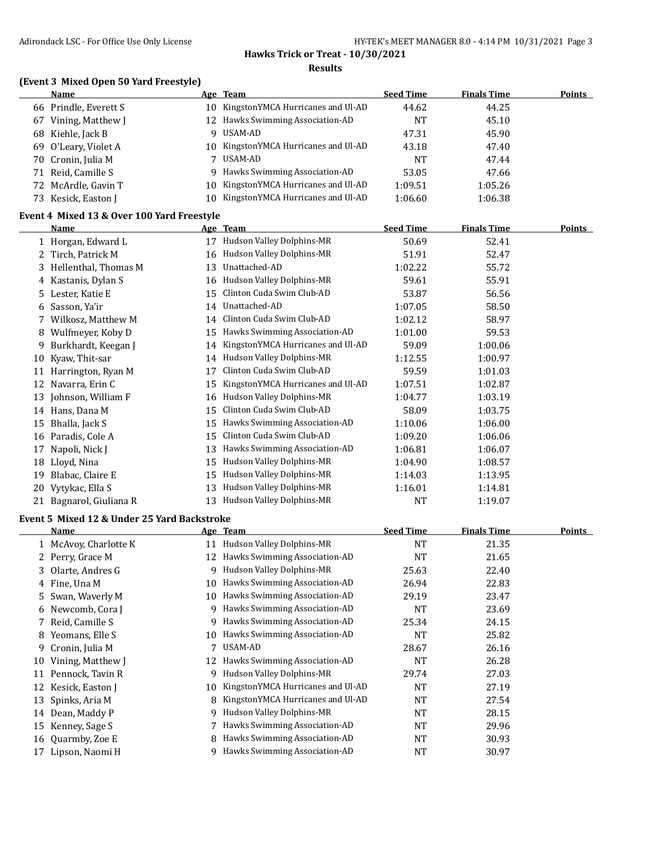## **(Event 3 Mixed Open 50 Yard Freestyle)**

|    | Name                  |     | Age Team                             | <b>Seed Time</b> | <b>Finals Time</b> | <b>Points</b> |
|----|-----------------------|-----|--------------------------------------|------------------|--------------------|---------------|
|    | 66 Prindle, Everett S |     | 10 KingstonYMCA Hurricanes and Ul-AD | 44.62            | 44.25              |               |
| 67 | Vining, Matthew J     |     | 12 Hawks Swimming Association-AD     | <b>NT</b>        | 45.10              |               |
|    | 68 Kiehle, Jack B     | Q   | USAM-AD                              | 47.31            | 45.90              |               |
|    | 69 O'Leary, Violet A  |     | 10 KingstonYMCA Hurricanes and Ul-AD | 43.18            | 47.40              |               |
|    | 70 Cronin, Julia M    |     | USAM-AD                              | NT               | 47.44              |               |
|    | 71 Reid, Camille S    |     | 9 Hawks Swimming Association-AD      | 53.05            | 47.66              |               |
|    | 72 McArdle, Gavin T   |     | 10 KingstonYMCA Hurricanes and Ul-AD | 1:09.51          | 1:05.26            |               |
|    | 73 Kesick, Easton J   | 10. | KingstonYMCA Hurricanes and Ul-AD    | 1:06.60          | 1:06.38            |               |

#### **Event 4 Mixed 13 & Over 100 Yard Freestyle**

|    | Name                 | <b>Age</b> | <b>Team</b>                       | <b>Seed Time</b> | <b>Finals Time</b> | Points |
|----|----------------------|------------|-----------------------------------|------------------|--------------------|--------|
|    | 1 Horgan, Edward L   | 17         | <b>Hudson Valley Dolphins-MR</b>  | 50.69            | 52.41              |        |
|    | Tirch, Patrick M     | 16         | Hudson Valley Dolphins-MR         | 51.91            | 52.47              |        |
| 3. | Hellenthal, Thomas M | 13         | Unattached-AD                     | 1:02.22          | 55.72              |        |
|    | Kastanis, Dylan S    | 16         | Hudson Valley Dolphins-MR         | 59.61            | 55.91              |        |
| 5. | Lester, Katie E      | 15         | Clinton Cuda Swim Club-AD         | 53.87            | 56.56              |        |
| 6  | Sasson, Ya'ir        | 14         | Unattached-AD                     | 1:07.05          | 58.50              |        |
|    | Wilkosz, Matthew M   | 14         | Clinton Cuda Swim Club-AD         | 1:02.12          | 58.97              |        |
| 8  | Wulfmeyer, Koby D    | 15         | Hawks Swimming Association-AD     | 1:01.00          | 59.53              |        |
| 9  | Burkhardt, Keegan J  | 14         | KingstonYMCA Hurricanes and Ul-AD | 59.09            | 1:00.06            |        |
| 10 | Kyaw, Thit-sar       | 14         | Hudson Valley Dolphins-MR         | 1:12.55          | 1:00.97            |        |
| 11 | Harrington, Ryan M   | 17         | Clinton Cuda Swim Club-AD         | 59.59            | 1:01.03            |        |
| 12 | Navarra, Erin C      | 15         | KingstonYMCA Hurricanes and Ul-AD | 1:07.51          | 1:02.87            |        |
| 13 | Johnson, William F   | 16         | Hudson Valley Dolphins-MR         | 1:04.77          | 1:03.19            |        |
| 14 | Hans, Dana M         | 15         | Clinton Cuda Swim Club-AD         | 58.09            | 1:03.75            |        |
| 15 | Bhalla, Jack S       | 15         | Hawks Swimming Association-AD     | 1:10.06          | 1:06.00            |        |
| 16 | Paradis, Cole A      | 15         | Clinton Cuda Swim Club-AD         | 1:09.20          | 1:06.06            |        |
| 17 | Napoli, Nick J       | 13         | Hawks Swimming Association-AD     | 1:06.81          | 1:06.07            |        |
| 18 | Lloyd, Nina          | 15         | Hudson Valley Dolphins-MR         | 1:04.90          | 1:08.57            |        |
| 19 | Blabac, Claire E     | 15         | Hudson Valley Dolphins-MR         | 1:14.03          | 1:13.95            |        |
| 20 | Vytykac, Ella S      | 13         | Hudson Valley Dolphins-MR         | 1:16.01          | 1:14.81            |        |
| 21 | Bagnarol, Giuliana R | 13         | <b>Hudson Valley Dolphins-MR</b>  | NT               | 1:19.07            |        |

#### **Event 5 Mixed 12 & Under 25 Yard Backstroke**

|    | Name                |    | Age Team                          | <b>Seed Time</b> | <b>Finals Time</b> | <b>Points</b> |
|----|---------------------|----|-----------------------------------|------------------|--------------------|---------------|
|    | McAvoy, Charlotte K | 11 | Hudson Valley Dolphins-MR         | <b>NT</b>        | 21.35              |               |
|    | 2 Perry, Grace M    | 12 | Hawks Swimming Association-AD     | NT               | 21.65              |               |
|    | 3 Olarte, Andres G  | 9. | Hudson Valley Dolphins-MR         | 25.63            | 22.40              |               |
|    | 4 Fine, Una M       | 10 | Hawks Swimming Association-AD     | 26.94            | 22.83              |               |
|    | 5 Swan, Waverly M   | 10 | Hawks Swimming Association-AD     | 29.19            | 23.47              |               |
| 6  | Newcomb, Cora J     | 9  | Hawks Swimming Association-AD     | <b>NT</b>        | 23.69              |               |
|    | Reid, Camille S     | 9  | Hawks Swimming Association-AD     | 25.34            | 24.15              |               |
| 8  | Yeomans, Elle S     | 10 | Hawks Swimming Association-AD     | NT               | 25.82              |               |
| 9  | Cronin, Julia M     |    | USAM-AD                           | 28.67            | 26.16              |               |
| 10 | Vining, Matthew J   | 12 | Hawks Swimming Association-AD     | <b>NT</b>        | 26.28              |               |
|    | 11 Pennock, Tavin R | 9  | Hudson Valley Dolphins-MR         | 29.74            | 27.03              |               |
| 12 | Kesick, Easton J    | 10 | KingstonYMCA Hurricanes and Ul-AD | <b>NT</b>        | 27.19              |               |
| 13 | Spinks, Aria M      | 8  | KingstonYMCA Hurricanes and Ul-AD | <b>NT</b>        | 27.54              |               |
| 14 | Dean, Maddy P       | 9  | Hudson Valley Dolphins-MR         | <b>NT</b>        | 28.15              |               |
| 15 | Kenney, Sage S      |    | 7 Hawks Swimming Association-AD   | <b>NT</b>        | 29.96              |               |
| 16 | Quarmby, Zoe E      | 8  | Hawks Swimming Association-AD     | <b>NT</b>        | 30.93              |               |
|    | 17 Lipson, Naomi H  | 9  | Hawks Swimming Association-AD     | NT               | 30.97              |               |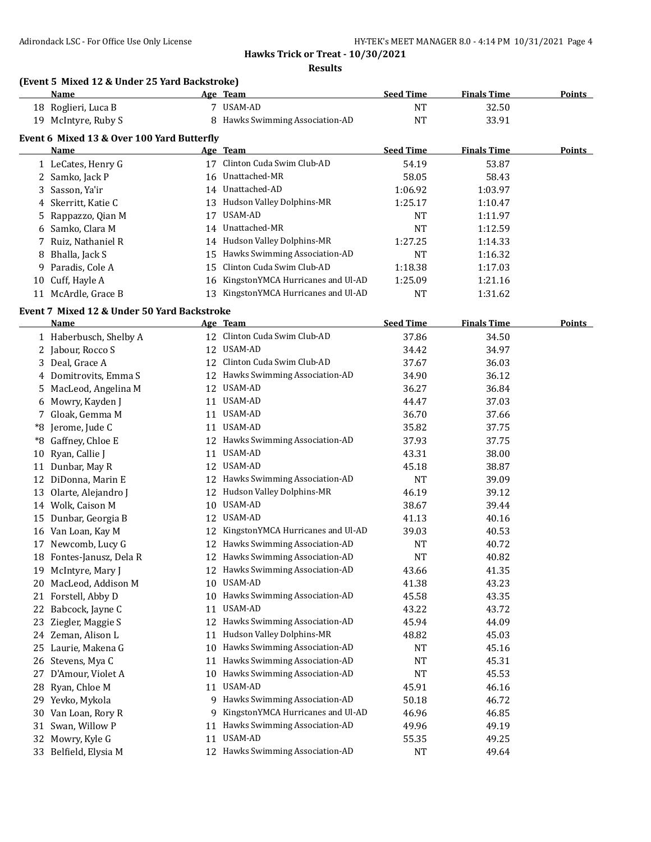#### **Hawks Trick or Treat - 10/30/2021**

**Results**

## **(Event 5 Mixed 12 & Under 25 Yard Backstroke)**

|    | Name                                        |                                            | Age Team                             | <b>Seed Time</b> | <b>Finals Time</b> | Points |  |  |  |
|----|---------------------------------------------|--------------------------------------------|--------------------------------------|------------------|--------------------|--------|--|--|--|
|    | 18 Roglieri, Luca B                         |                                            | USAM-AD                              | <b>NT</b>        | 32.50              |        |  |  |  |
| 19 | McIntyre, Ruby S                            | 8                                          | Hawks Swimming Association-AD        | NT               | 33.91              |        |  |  |  |
|    |                                             | Event 6 Mixed 13 & Over 100 Yard Butterfly |                                      |                  |                    |        |  |  |  |
|    | <b>Name</b>                                 |                                            | Age Team                             | <b>Seed Time</b> | <b>Finals Time</b> | Points |  |  |  |
|    | 1 LeCates, Henry G                          | 17                                         | Clinton Cuda Swim Club-AD            | 54.19            | 53.87              |        |  |  |  |
|    | 2 Samko, Jack P                             |                                            | 16 Unattached-MR                     | 58.05            | 58.43              |        |  |  |  |
|    | 3 Sasson, Ya'ir                             |                                            | 14 Unattached-AD                     | 1:06.92          | 1:03.97            |        |  |  |  |
|    | 4 Skerritt, Katie C                         |                                            | 13 Hudson Valley Dolphins-MR         | 1:25.17          | 1:10.47            |        |  |  |  |
|    | 5 Rappazzo, Qian M                          | 17                                         | USAM-AD                              | <b>NT</b>        | 1:11.97            |        |  |  |  |
|    | 6 Samko, Clara M                            |                                            | 14 Unattached-MR                     | NT               | 1:12.59            |        |  |  |  |
|    | 7 Ruiz, Nathaniel R                         |                                            | 14 Hudson Valley Dolphins-MR         | 1:27.25          | 1:14.33            |        |  |  |  |
| 8  | Bhalla, Jack S                              | 15                                         | Hawks Swimming Association-AD        | NT               | 1:16.32            |        |  |  |  |
| 9. | Paradis, Cole A                             | 15                                         | Clinton Cuda Swim Club-AD            | 1:18.38          | 1:17.03            |        |  |  |  |
| 10 | Cuff, Hayle A                               |                                            | 16 KingstonYMCA Hurricanes and Ul-AD | 1:25.09          | 1:21.16            |        |  |  |  |
|    | 11 McArdle, Grace B                         | 13                                         | KingstonYMCA Hurricanes and Ul-AD    | NT               | 1:31.62            |        |  |  |  |
|    | Event 7 Mixed 12 & Under 50 Yard Backstroke |                                            |                                      |                  |                    |        |  |  |  |

|    | Name                   |    | Age Team                          | <b>Seed Time</b> | <b>Finals Time</b> | <b>Points</b> |
|----|------------------------|----|-----------------------------------|------------------|--------------------|---------------|
|    | 1 Haberbusch, Shelby A |    | 12 Clinton Cuda Swim Club-AD      | 37.86            | 34.50              |               |
|    | 2 Jabour, Rocco S      |    | 12 USAM-AD                        | 34.42            | 34.97              |               |
| 3  | Deal, Grace A          | 12 | Clinton Cuda Swim Club-AD         | 37.67            | 36.03              |               |
|    | 4 Domitrovits, Emma S  |    | 12 Hawks Swimming Association-AD  | 34.90            | 36.12              |               |
| 5. | MacLeod, Angelina M    |    | 12 USAM-AD                        | 36.27            | 36.84              |               |
| 6  | Mowry, Kayden J        | 11 | USAM-AD                           | 44.47            | 37.03              |               |
| 7. | Gloak, Gemma M         | 11 | USAM-AD                           | 36.70            | 37.66              |               |
| *8 | Jerome, Jude C         | 11 | USAM-AD                           | 35.82            | 37.75              |               |
| *8 | Gaffney, Chloe E       |    | 12 Hawks Swimming Association-AD  | 37.93            | 37.75              |               |
| 10 | Ryan, Callie J         | 11 | <b>USAM-AD</b>                    | 43.31            | 38.00              |               |
| 11 | Dunbar, May R          |    | 12 USAM-AD                        | 45.18            | 38.87              |               |
| 12 | DiDonna, Marin E       |    | 12 Hawks Swimming Association-AD  | <b>NT</b>        | 39.09              |               |
| 13 | Olarte, Alejandro J    |    | 12 Hudson Valley Dolphins-MR      | 46.19            | 39.12              |               |
|    | 14 Wolk, Caison M      | 10 | USAM-AD                           | 38.67            | 39.44              |               |
| 15 | Dunbar, Georgia B      | 12 | USAM-AD                           | 41.13            | 40.16              |               |
| 16 | Van Loan, Kay M        | 12 | KingstonYMCA Hurricanes and Ul-AD | 39.03            | 40.53              |               |
|    | 17 Newcomb, Lucy G     | 12 | Hawks Swimming Association-AD     | <b>NT</b>        | 40.72              |               |
| 18 | Fontes-Janusz, Dela R  | 12 | Hawks Swimming Association-AD     | <b>NT</b>        | 40.82              |               |
| 19 | McIntyre, Mary J       |    | 12 Hawks Swimming Association-AD  | 43.66            | 41.35              |               |
| 20 | MacLeod, Addison M     |    | 10 USAM-AD                        | 41.38            | 43.23              |               |
| 21 | Forstell, Abby D       |    | 10 Hawks Swimming Association-AD  | 45.58            | 43.35              |               |
| 22 | Babcock, Jayne C       | 11 | USAM-AD                           | 43.22            | 43.72              |               |
| 23 | Ziegler, Maggie S      | 12 | Hawks Swimming Association-AD     | 45.94            | 44.09              |               |
| 24 | Zeman, Alison L        | 11 | Hudson Valley Dolphins-MR         | 48.82            | 45.03              |               |
|    | 25 Laurie, Makena G    | 10 | Hawks Swimming Association-AD     | <b>NT</b>        | 45.16              |               |
|    | 26 Stevens, Mya C      | 11 | Hawks Swimming Association-AD     | <b>NT</b>        | 45.31              |               |
| 27 | D'Amour, Violet A      | 10 | Hawks Swimming Association-AD     | <b>NT</b>        | 45.53              |               |
| 28 | Ryan, Chloe M          | 11 | USAM-AD                           | 45.91            | 46.16              |               |
|    | 29 Yevko, Mykola       | 9  | Hawks Swimming Association-AD     | 50.18            | 46.72              |               |
| 30 | Van Loan, Rory R       | 9  | KingstonYMCA Hurricanes and Ul-AD | 46.96            | 46.85              |               |
| 31 | Swan, Willow P         | 11 | Hawks Swimming Association-AD     | 49.96            | 49.19              |               |
| 32 | Mowry, Kyle G          | 11 | USAM-AD                           | 55.35            | 49.25              |               |
|    | 33 Belfield, Elysia M  |    | 12 Hawks Swimming Association-AD  | <b>NT</b>        | 49.64              |               |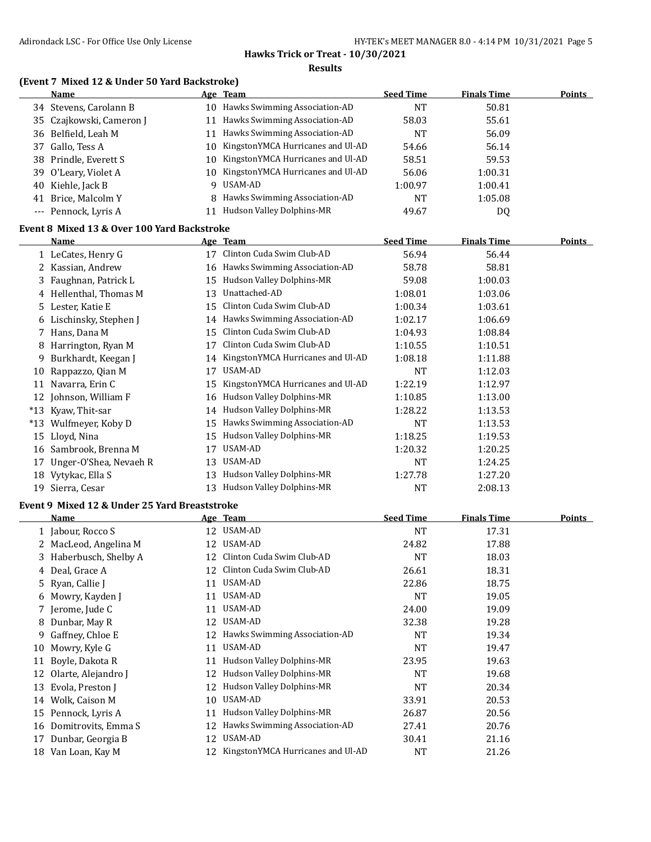| (Event 7 Mixed 12 & Under 50 Yard Backstroke) |    |                                      |                  |                    |               |
|-----------------------------------------------|----|--------------------------------------|------------------|--------------------|---------------|
| Name                                          |    | Age Team                             | <b>Seed Time</b> | <b>Finals Time</b> | <b>Points</b> |
| 34 Stevens, Carolann B                        |    | 10 Hawks Swimming Association-AD     | <b>NT</b>        | 50.81              |               |
| 35 Czajkowski, Cameron J                      |    | 11 Hawks Swimming Association-AD     | 58.03            | 55.61              |               |
| 36 Belfield, Leah M                           |    | 11 Hawks Swimming Association-AD     | <b>NT</b>        | 56.09              |               |
| 37 Gallo, Tess A                              |    | 10 KingstonYMCA Hurricanes and Ul-AD | 54.66            | 56.14              |               |
| 38 Prindle, Everett S                         | 10 | KingstonYMCA Hurricanes and Ul-AD    | 58.51            | 59.53              |               |
| 39 O'Leary, Violet A                          | 10 | KingstonYMCA Hurricanes and Ul-AD    | 56.06            | 1:00.31            |               |
| 40 Kiehle, Jack B                             |    | 9 USAM-AD                            | 1:00.97          | 1:00.41            |               |
| 41 Brice, Malcolm Y                           |    | 8 Hawks Swimming Association-AD      | NT               | 1:05.08            |               |
| --- Pennock, Lyris A                          |    | 11 Hudson Valley Dolphins-MR         | 49.67            | DQ                 |               |
| Event 8 Mixed 13 & Over 100 Yard Backstroke   |    |                                      |                  |                    |               |
| Name                                          |    | Age Team                             | <b>Seed Time</b> | <b>Finals Time</b> | <b>Points</b> |
| 1 LeCates, Henry G                            |    | 17 Clinton Cuda Swim Club-AD         | 56.94            | 56.44              |               |
| 2 Kassian, Andrew                             |    | 16 Hawks Swimming Association-AD     | 58.78            | 58.81              |               |
| 3 Faughnan, Patrick L                         |    | 15 Hudson Valley Dolphins-MR         | 59.08            | 1:00.03            |               |
| 4 Hellenthal, Thomas M                        |    | 13 Unattached-AD                     | 1:08.01          | 1:03.06            |               |
| 5 Lester, Katie E                             | 15 | Clinton Cuda Swim Club-AD            | 1:00.34          | 1:03.61            |               |
| 6 Lischinsky, Stephen J                       |    | 14 Hawks Swimming Association-AD     | 1:02.17          | 1:06.69            |               |
| 7 Hans, Dana M                                | 15 | Clinton Cuda Swim Club-AD            | 1:04.93          | 1:08.84            |               |
| 8 Harrington, Ryan M                          |    | 17 Clinton Cuda Swim Club-AD         | 1:10.55          | 1:10.51            |               |
| 9 Burkhardt, Keegan J                         |    | 14 KingstonYMCA Hurricanes and Ul-AD | 1:08.18          | 1:11.88            |               |
| 10 Rappazzo, Qian M                           |    | 17 USAM-AD                           | <b>NT</b>        | 1:12.03            |               |
| 11 Navarra, Erin C                            | 15 | KingstonYMCA Hurricanes and Ul-AD    | 1:22.19          | 1:12.97            |               |
| 12 Johnson, William F                         |    | 16 Hudson Valley Dolphins-MR         | 1:10.85          | 1:13.00            |               |
| *13 Kyaw, Thit-sar                            |    | 14 Hudson Valley Dolphins-MR         | 1:28.22          | 1:13.53            |               |
| *13 Wulfmeyer, Koby D                         |    | 15 Hawks Swimming Association-AD     | NT               | 1:13.53            |               |
| 15 Lloyd, Nina                                | 15 | Hudson Valley Dolphins-MR            | 1:18.25          | 1:19.53            |               |
| 16 Sambrook, Brenna M                         |    | 17 USAM-AD                           | 1:20.32          | 1:20.25            |               |
| 17 Unger-O'Shea, Nevaeh R                     |    | 13 USAM-AD                           | NT               | 1:24.25            |               |
| 18 Vytykac, Ella S                            |    | 13 Hudson Valley Dolphins-MR         | 1:27.78          | 1:27.20            |               |
| 19 Sierra, Cesar                              | 13 | Hudson Valley Dolphins-MR            | <b>NT</b>        | 2:08.13            |               |
| Event 9 Mixed 12 & Under 25 Yard Breaststroke |    |                                      |                  |                    |               |
| Name                                          |    | <u>Age Team</u>                      | <b>Seed Time</b> | <b>Finals Time</b> | <b>Points</b> |
| 1 Jabour, Rocco S                             |    | 12 USAM-AD                           | <b>NT</b>        | 17.31              |               |
| 2 MacLeod, Angelina M                         |    | 12 USAM-AD                           | 24.82            | 17.88              |               |
| 3 Haberbusch, Shelby A                        |    | 12 Clinton Cuda Swim Club-AD         | <b>NT</b>        | 18.03              |               |
| 4 Deal, Grace A                               |    | 12 Clinton Cuda Swim Club-AD         | 26.61            | 18.31              |               |
| 5 Ryan, Callie J                              |    | 11 USAM-AD                           | 22.86            | 18.75              |               |
| 6 Mowry, Kayden J                             |    | 11 USAM-AD                           | NT               | 19.05              |               |
| 7 Jerome, Jude C                              |    | 11 USAM-AD                           | 24.00            | 19.09              |               |
| 8 Dunbar, May R                               |    | 12 USAM-AD                           | 32.38            | 19.28              |               |

9 Gaffney, Chloe E 12 Hawks Swimming Association-AD NT 19.34 10 Mowry, Kyle G 11 USAM-AD NT 19.47 11 Boyle, Dakota R 11 Hudson Valley Dolphins-MR 23.95 19.63 12 Olarte, Alejandro J 12 Hudson Valley Dolphins-MR NT NT 19.68 13 Evola, Preston J 12 Hudson Valley Dolphins-MR NT 20.34 Wolk, Caison M 10 USAM-AD 33.91 20.53 Pennock, Lyris A 11 Hudson Valley Dolphins-MR 26.87 20.56 Domitrovits, Emma S 12 Hawks Swimming Association-AD 27.41 20.76 17 Dunbar, Georgia B 12 USAM-AD 30.41 21.16 Van Loan, Kay M 12 KingstonYMCA Hurricanes and Ul-AD NT 21.26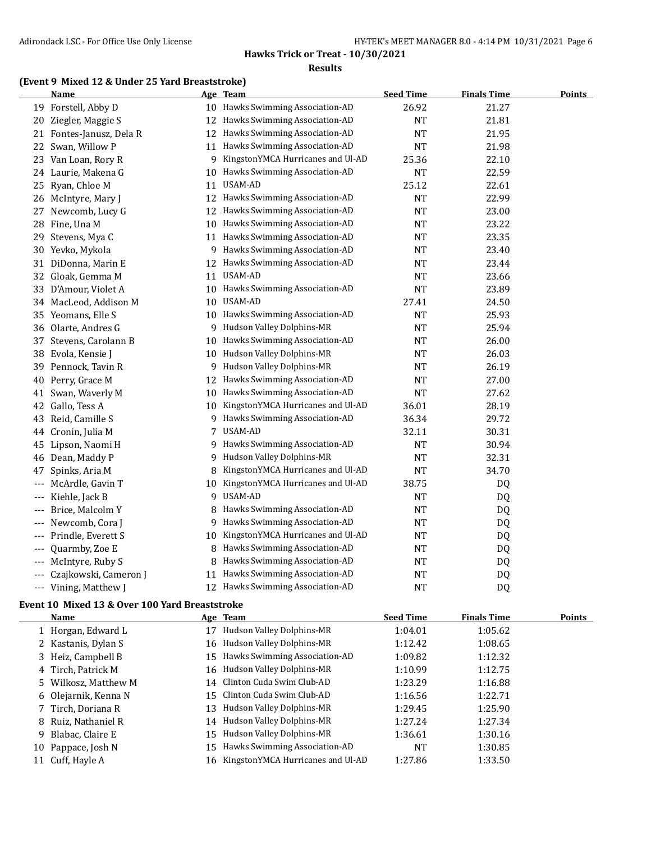# **Hawks Trick or Treat - 10/30/2021**

#### **Results**

#### **(Event 9 Mixed 12 & Under 25 Yard Breaststroke)**

|       | <u>Name</u>              | <u>Age</u> | <b>Team</b>                       | <b>Seed Time</b> | <b>Finals Time</b> | <b>Points</b> |
|-------|--------------------------|------------|-----------------------------------|------------------|--------------------|---------------|
|       | 19 Forstell, Abby D      |            | 10 Hawks Swimming Association-AD  | 26.92            | 21.27              |               |
| 20    | Ziegler, Maggie S        |            | 12 Hawks Swimming Association-AD  | NT               | 21.81              |               |
|       | 21 Fontes-Janusz, Dela R | 12         | Hawks Swimming Association-AD     | <b>NT</b>        | 21.95              |               |
| 22    | Swan, Willow P           |            | 11 Hawks Swimming Association-AD  | <b>NT</b>        | 21.98              |               |
| 23    | Van Loan, Rory R         | 9          | KingstonYMCA Hurricanes and Ul-AD | 25.36            | 22.10              |               |
| 24    | Laurie, Makena G         | 10         | Hawks Swimming Association-AD     | <b>NT</b>        | 22.59              |               |
| 25    | Ryan, Chloe M            | 11         | USAM-AD                           | 25.12            | 22.61              |               |
|       | 26 McIntyre, Mary J      | 12         | Hawks Swimming Association-AD     | <b>NT</b>        | 22.99              |               |
| 27    | Newcomb, Lucy G          | 12         | Hawks Swimming Association-AD     | <b>NT</b>        | 23.00              |               |
| 28    | Fine, Una M              | 10         | Hawks Swimming Association-AD     | <b>NT</b>        | 23.22              |               |
| 29    | Stevens, Mya C           | 11         | Hawks Swimming Association-AD     | <b>NT</b>        | 23.35              |               |
| 30    | Yevko, Mykola            | 9.         | Hawks Swimming Association-AD     | <b>NT</b>        | 23.40              |               |
| 31    | DiDonna, Marin E         |            | 12 Hawks Swimming Association-AD  | <b>NT</b>        | 23.44              |               |
|       | 32 Gloak, Gemma M        |            | 11 USAM-AD                        | <b>NT</b>        | 23.66              |               |
| 33    | D'Amour, Violet A        |            | 10 Hawks Swimming Association-AD  | <b>NT</b>        | 23.89              |               |
|       | 34 MacLeod, Addison M    | 10         | USAM-AD                           | 27.41            | 24.50              |               |
| 35    | Yeomans, Elle S          | 10         | Hawks Swimming Association-AD     | NT               | 25.93              |               |
| 36    | Olarte, Andres G         | 9          | Hudson Valley Dolphins-MR         | <b>NT</b>        | 25.94              |               |
| 37    | Stevens, Carolann B      | 10         | Hawks Swimming Association-AD     | <b>NT</b>        | 26.00              |               |
| 38    | Evola, Kensie J          | 10         | Hudson Valley Dolphins-MR         | <b>NT</b>        | 26.03              |               |
| 39    | Pennock, Tavin R         | 9          | Hudson Valley Dolphins-MR         | <b>NT</b>        | 26.19              |               |
| 40    | Perry, Grace M           | 12         | Hawks Swimming Association-AD     | <b>NT</b>        | 27.00              |               |
| 41    | Swan, Waverly M          | 10         | Hawks Swimming Association-AD     | <b>NT</b>        | 27.62              |               |
| 42    | Gallo, Tess A            | 10         | KingstonYMCA Hurricanes and Ul-AD | 36.01            | 28.19              |               |
| 43    | Reid, Camille S          | 9.         | Hawks Swimming Association-AD     | 36.34            | 29.72              |               |
| 44    | Cronin, Julia M          | 7          | USAM-AD                           | 32.11            | 30.31              |               |
| 45    | Lipson, Naomi H          |            | 9 Hawks Swimming Association-AD   | <b>NT</b>        | 30.94              |               |
| 46    | Dean, Maddy P            | 9.         | Hudson Valley Dolphins-MR         | <b>NT</b>        | 32.31              |               |
| 47    | Spinks, Aria M           | 8          | KingstonYMCA Hurricanes and Ul-AD | <b>NT</b>        | 34.70              |               |
| ---   | McArdle, Gavin T         | 10         | KingstonYMCA Hurricanes and Ul-AD | 38.75            | DQ                 |               |
| ---   | Kiehle, Jack B           |            | 9 USAM-AD                         | NT               | DQ                 |               |
| ---   | Brice, Malcolm Y         | 8          | Hawks Swimming Association-AD     | <b>NT</b>        | DQ                 |               |
| ---   | Newcomb, Cora J          |            | 9 Hawks Swimming Association-AD   | <b>NT</b>        | DQ                 |               |
| ---   | Prindle, Everett S       | 10         | KingstonYMCA Hurricanes and Ul-AD | <b>NT</b>        | DQ                 |               |
| $---$ | Quarmby, Zoe E           | 8          | Hawks Swimming Association-AD     | <b>NT</b>        | DQ                 |               |
| $---$ | McIntyre, Ruby S         | 8          | Hawks Swimming Association-AD     | <b>NT</b>        | DQ                 |               |
| ---   | Czajkowski, Cameron J    | 11         | Hawks Swimming Association-AD     | <b>NT</b>        | DQ                 |               |
|       | --- Vining, Matthew J    |            | 12 Hawks Swimming Association-AD  | <b>NT</b>        | DQ                 |               |
|       |                          |            |                                   |                  |                    |               |

#### **Event 10 Mixed 13 & Over 100 Yard Breaststroke**

|    | <b>Name</b>          |    | Age Team                             | <b>Seed Time</b> | <b>Finals Time</b> | Points |
|----|----------------------|----|--------------------------------------|------------------|--------------------|--------|
|    | 1 Horgan, Edward L   | 17 | Hudson Valley Dolphins-MR            | 1:04.01          | 1:05.62            |        |
|    | 2 Kastanis, Dylan S  |    | 16 Hudson Valley Dolphins-MR         | 1:12.42          | 1:08.65            |        |
|    | 3 Heiz, Campbell B   |    | 15 Hawks Swimming Association-AD     | 1:09.82          | 1:12.32            |        |
|    | 4 Tirch, Patrick M   |    | 16 Hudson Valley Dolphins-MR         | 1:10.99          | 1:12.75            |        |
|    | 5 Wilkosz, Matthew M |    | 14 Clinton Cuda Swim Club-AD         | 1:23.29          | 1:16.88            |        |
|    | 6 Olejarnik, Kenna N |    | 15 Clinton Cuda Swim Club-AD         | 1:16.56          | 1:22.71            |        |
|    | 7 Tirch, Doriana R   |    | 13 Hudson Valley Dolphins-MR         | 1:29.45          | 1:25.90            |        |
|    | 8 Ruiz, Nathaniel R  |    | 14 Hudson Valley Dolphins-MR         | 1:27.24          | 1:27.34            |        |
| -9 | Blabac, Claire E     |    | 15 Hudson Valley Dolphins-MR         | 1:36.61          | 1:30.16            |        |
|    | 10 Pappace, Josh N   |    | 15 Hawks Swimming Association-AD     | NT               | 1:30.85            |        |
|    | 11 Cuff, Hayle A     |    | 16 KingstonYMCA Hurricanes and Ul-AD | 1:27.86          | 1:33.50            |        |